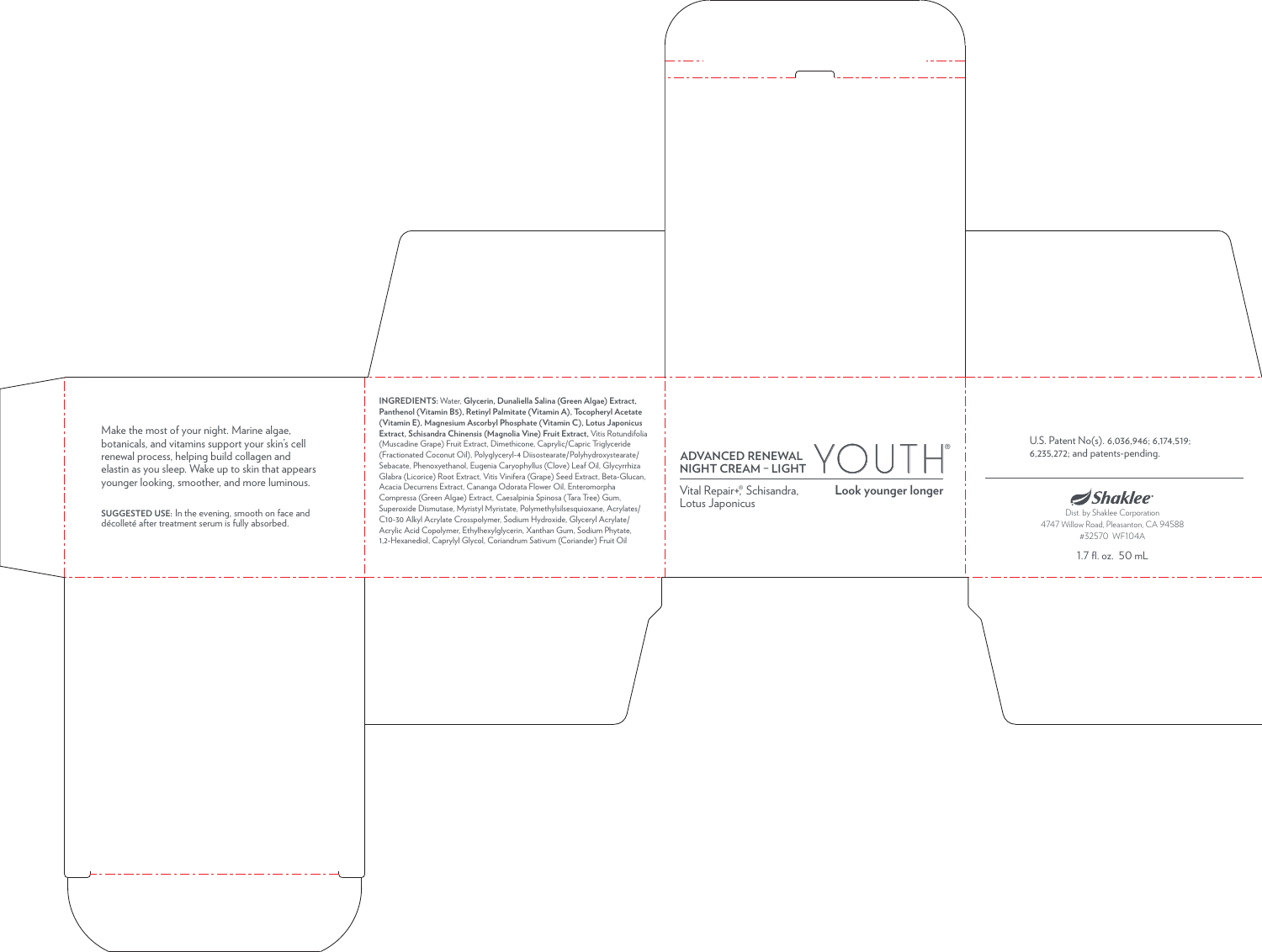